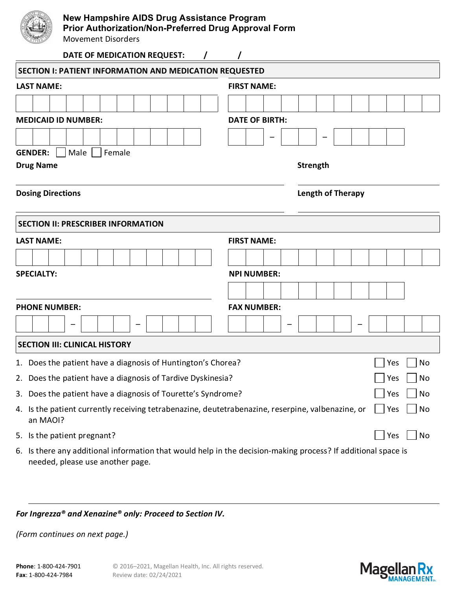| New Hampshire AIDS Drug Assistance Program<br>Prior Authorization/Non-Preferred Drug Approval Form<br><b>Movement Disorders</b> |  |                          |  |  |  |  |    |  |
|---------------------------------------------------------------------------------------------------------------------------------|--|--------------------------|--|--|--|--|----|--|
| DATE OF MEDICATION REQUEST:                                                                                                     |  |                          |  |  |  |  |    |  |
| <b>SECTION I: PATIENT INFORMATION AND MEDICATION REQUESTED</b>                                                                  |  |                          |  |  |  |  |    |  |
| <b>LAST NAME:</b>                                                                                                               |  | <b>FIRST NAME:</b>       |  |  |  |  |    |  |
|                                                                                                                                 |  |                          |  |  |  |  |    |  |
| <b>MEDICAID ID NUMBER:</b>                                                                                                      |  | <b>DATE OF BIRTH:</b>    |  |  |  |  |    |  |
|                                                                                                                                 |  |                          |  |  |  |  |    |  |
| Male  <br><b>GENDER:</b><br>Female<br><b>Strength</b><br><b>Drug Name</b>                                                       |  |                          |  |  |  |  |    |  |
| <b>Dosing Directions</b>                                                                                                        |  | <b>Length of Therapy</b> |  |  |  |  |    |  |
| <b>SECTION II: PRESCRIBER INFORMATION</b>                                                                                       |  |                          |  |  |  |  |    |  |
| <b>LAST NAME:</b>                                                                                                               |  | <b>FIRST NAME:</b>       |  |  |  |  |    |  |
|                                                                                                                                 |  |                          |  |  |  |  |    |  |
| <b>SPECIALTY:</b>                                                                                                               |  | <b>NPI NUMBER:</b>       |  |  |  |  |    |  |
|                                                                                                                                 |  |                          |  |  |  |  |    |  |
| <b>PHONE NUMBER:</b>                                                                                                            |  | <b>FAX NUMBER:</b>       |  |  |  |  |    |  |
|                                                                                                                                 |  |                          |  |  |  |  |    |  |
| <b>SECTION III: CLINICAL HISTORY</b>                                                                                            |  |                          |  |  |  |  |    |  |
| 1. Does the patient have a diagnosis of Huntington's Chorea?<br>No<br>Yes                                                       |  |                          |  |  |  |  |    |  |
| Does the patient have a diagnosis of Tardive Dyskinesia?<br>Yes<br>2.                                                           |  |                          |  |  |  |  | No |  |
| Does the patient have a diagnosis of Tourette's Syndrome?<br>Yes<br>3.                                                          |  |                          |  |  |  |  | No |  |
| 4. Is the patient currently receiving tetrabenazine, deutetrabenazine, reserpine, valbenazine, or<br>No<br>Yes                  |  |                          |  |  |  |  |    |  |

5. Is the patient pregnant?  $\Box$  No

an MAOI?

6. Is there any additional information that would help in the decision-making process? If additional space is needed, please use another page.

## *For Ingrezza® and Xenazine® only: Proceed to Section IV.*

*(Form continues on next page.)*